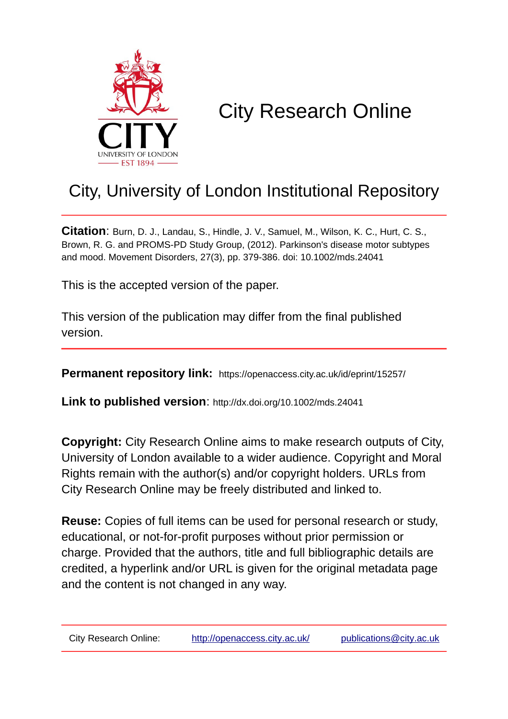

# City Research Online

## City, University of London Institutional Repository

**Citation**: Burn, D. J., Landau, S., Hindle, J. V., Samuel, M., Wilson, K. C., Hurt, C. S., Brown, R. G. and PROMS-PD Study Group, (2012). Parkinson's disease motor subtypes and mood. Movement Disorders, 27(3), pp. 379-386. doi: 10.1002/mds.24041

This is the accepted version of the paper.

This version of the publication may differ from the final published version.

**Permanent repository link:** https://openaccess.city.ac.uk/id/eprint/15257/

**Link to published version**: http://dx.doi.org/10.1002/mds.24041

**Copyright:** City Research Online aims to make research outputs of City, University of London available to a wider audience. Copyright and Moral Rights remain with the author(s) and/or copyright holders. URLs from City Research Online may be freely distributed and linked to.

**Reuse:** Copies of full items can be used for personal research or study, educational, or not-for-profit purposes without prior permission or charge. Provided that the authors, title and full bibliographic details are credited, a hyperlink and/or URL is given for the original metadata page and the content is not changed in any way.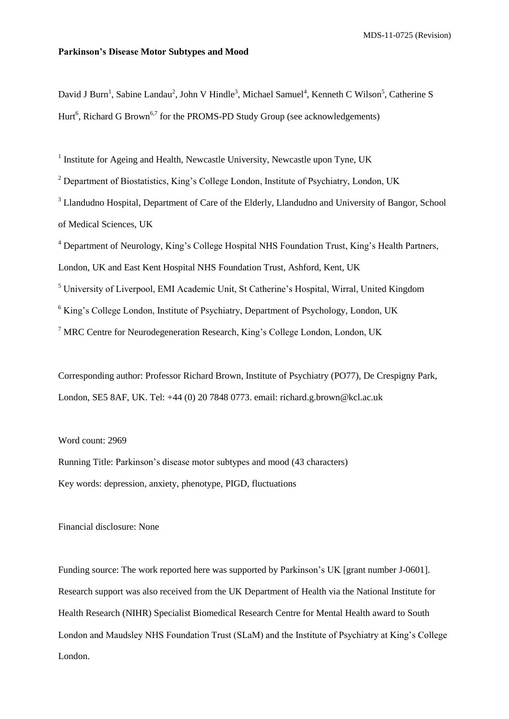MDS-11-0725 (Revision)

#### **Parkinson's Disease Motor Subtypes and Mood**

David J Burn<sup>1</sup>, Sabine Landau<sup>2</sup>, John V Hindle<sup>3</sup>, Michael Samuel<sup>4</sup>, Kenneth C Wilson<sup>5</sup>, Catherine S Hurt<sup>6</sup>, Richard G Brown<sup>6,7</sup> for the PROMS-PD Study Group (see acknowledgements)

<sup>1</sup> Institute for Ageing and Health, Newcastle University, Newcastle upon Tyne, UK

<sup>2</sup> Department of Biostatistics, King's College London, Institute of Psychiatry, London, UK

<sup>3</sup> Llandudno Hospital, Department of Care of the Elderly, Llandudno and University of Bangor, School of Medical Sciences, UK

<sup>4</sup> Department of Neurology, King's College Hospital NHS Foundation Trust, King's Health Partners,

London, UK and East Kent Hospital NHS Foundation Trust, Ashford, Kent, UK

<sup>5</sup> University of Liverpool, EMI Academic Unit, St Catherine's Hospital, Wirral, United Kingdom

<sup>6</sup> King's College London, Institute of Psychiatry, Department of Psychology, London, UK

<sup>7</sup> MRC Centre for Neurodegeneration Research, King's College London, London, UK

Corresponding author: Professor Richard Brown, Institute of Psychiatry (PO77), De Crespigny Park, London, SE5 8AF, UK. Tel: +44 (0) 20 7848 0773. email: richard.g.brown@kcl.ac.uk

Word count: 2969

Running Title: Parkinson's disease motor subtypes and mood (43 characters) Key words: depression, anxiety, phenotype, PIGD, fluctuations

Financial disclosure: None

Funding source: The work reported here was supported by Parkinson's UK [grant number J-0601]. Research support was also received from the UK Department of Health via the National Institute for Health Research (NIHR) Specialist Biomedical Research Centre for Mental Health award to South London and Maudsley NHS Foundation Trust (SLaM) and the Institute of Psychiatry at King's College London.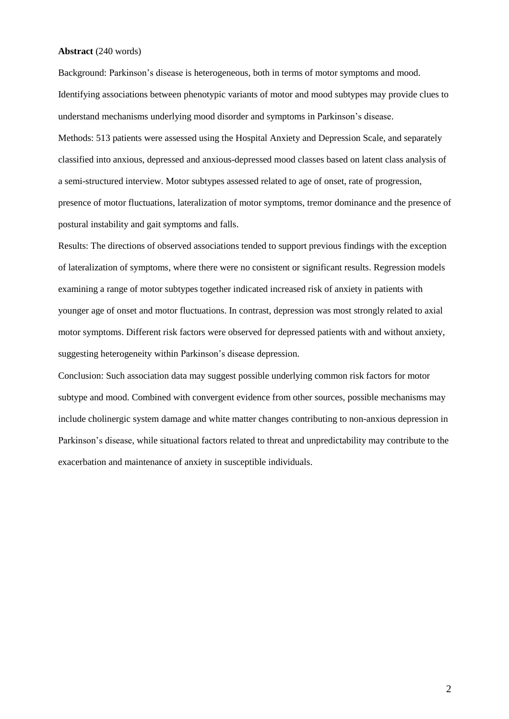#### **Abstract** (240 words)

Background: Parkinson's disease is heterogeneous, both in terms of motor symptoms and mood. Identifying associations between phenotypic variants of motor and mood subtypes may provide clues to understand mechanisms underlying mood disorder and symptoms in Parkinson's disease. Methods: 513 patients were assessed using the Hospital Anxiety and Depression Scale, and separately classified into anxious, depressed and anxious-depressed mood classes based on latent class analysis of a semi-structured interview. Motor subtypes assessed related to age of onset, rate of progression, presence of motor fluctuations, lateralization of motor symptoms, tremor dominance and the presence of postural instability and gait symptoms and falls.

Results: The directions of observed associations tended to support previous findings with the exception of lateralization of symptoms, where there were no consistent or significant results. Regression models examining a range of motor subtypes together indicated increased risk of anxiety in patients with younger age of onset and motor fluctuations. In contrast, depression was most strongly related to axial motor symptoms. Different risk factors were observed for depressed patients with and without anxiety, suggesting heterogeneity within Parkinson's disease depression.

Conclusion: Such association data may suggest possible underlying common risk factors for motor subtype and mood. Combined with convergent evidence from other sources, possible mechanisms may include cholinergic system damage and white matter changes contributing to non-anxious depression in Parkinson's disease, while situational factors related to threat and unpredictability may contribute to the exacerbation and maintenance of anxiety in susceptible individuals.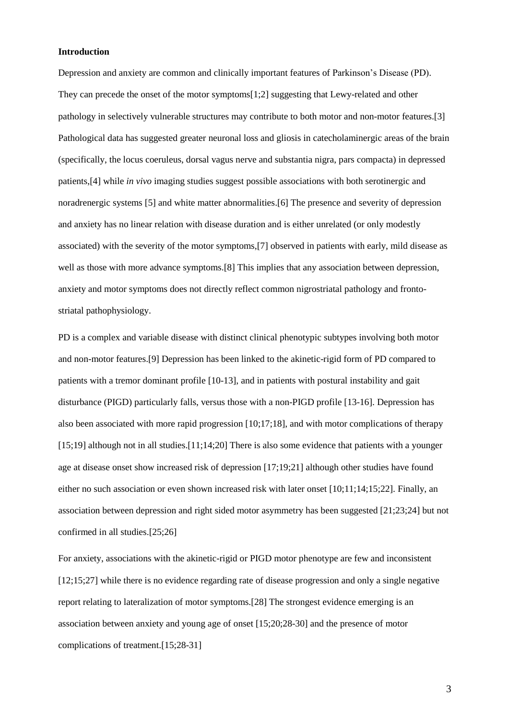#### **Introduction**

Depression and anxiety are common and clinically important features of Parkinson's Disease (PD). They can precede the onset of the motor symptoms[1;2] suggesting that Lewy-related and other pathology in selectively vulnerable structures may contribute to both motor and non-motor features.[3] Pathological data has suggested greater neuronal loss and gliosis in catecholaminergic areas of the brain (specifically, the locus coeruleus, dorsal vagus nerve and substantia nigra, pars compacta) in depressed patients,[4] while *in vivo* imaging studies suggest possible associations with both serotinergic and noradrenergic systems [5] and white matter abnormalities.[6] The presence and severity of depression and anxiety has no linear relation with disease duration and is either unrelated (or only modestly associated) with the severity of the motor symptoms,[7] observed in patients with early, mild disease as well as those with more advance symptoms.[8] This implies that any association between depression, anxiety and motor symptoms does not directly reflect common nigrostriatal pathology and frontostriatal pathophysiology.

PD is a complex and variable disease with distinct clinical phenotypic subtypes involving both motor and non-motor features.[9] Depression has been linked to the akinetic-rigid form of PD compared to patients with a tremor dominant profile [10-13], and in patients with postural instability and gait disturbance (PIGD) particularly falls, versus those with a non-PIGD profile [13-16]. Depression has also been associated with more rapid progression [10;17;18], and with motor complications of therapy [15;19] although not in all studies.[11;14;20] There is also some evidence that patients with a younger age at disease onset show increased risk of depression [17;19;21] although other studies have found either no such association or even shown increased risk with later onset [10;11;14;15;22]. Finally, an association between depression and right sided motor asymmetry has been suggested [21;23;24] but not confirmed in all studies.[25;26]

For anxiety, associations with the akinetic-rigid or PIGD motor phenotype are few and inconsistent [12;15;27] while there is no evidence regarding rate of disease progression and only a single negative report relating to lateralization of motor symptoms.[28] The strongest evidence emerging is an association between anxiety and young age of onset [15;20;28-30] and the presence of motor complications of treatment.[15;28-31]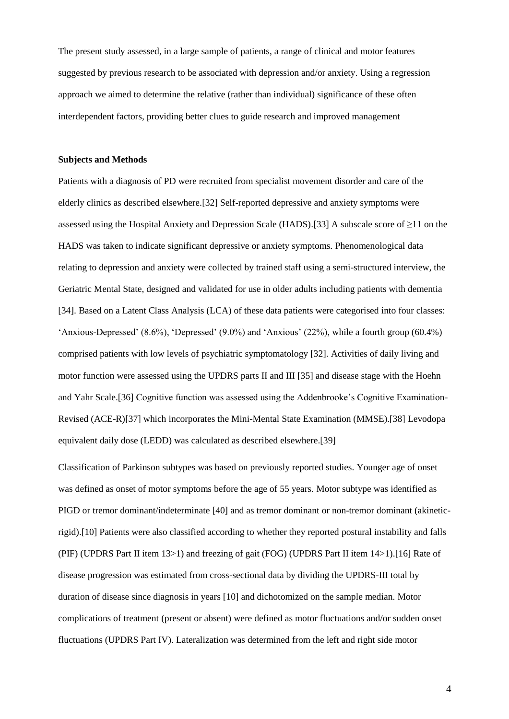The present study assessed, in a large sample of patients, a range of clinical and motor features suggested by previous research to be associated with depression and/or anxiety. Using a regression approach we aimed to determine the relative (rather than individual) significance of these often interdependent factors, providing better clues to guide research and improved management

#### **Subjects and Methods**

Patients with a diagnosis of PD were recruited from specialist movement disorder and care of the elderly clinics as described elsewhere.[32] Self-reported depressive and anxiety symptoms were assessed using the Hospital Anxiety and Depression Scale (HADS).[33] A subscale score of ≥11 on the HADS was taken to indicate significant depressive or anxiety symptoms. Phenomenological data relating to depression and anxiety were collected by trained staff using a semi-structured interview, the Geriatric Mental State, designed and validated for use in older adults including patients with dementia [34]. Based on a Latent Class Analysis (LCA) of these data patients were categorised into four classes: 'Anxious-Depressed' (8.6%), 'Depressed' (9.0%) and 'Anxious' (22%), while a fourth group (60.4%) comprised patients with low levels of psychiatric symptomatology [32]. Activities of daily living and motor function were assessed using the UPDRS parts II and III [35] and disease stage with the Hoehn and Yahr Scale.[36] Cognitive function was assessed using the Addenbrooke's Cognitive Examination-Revised (ACE-R)[37] which incorporates the Mini-Mental State Examination (MMSE).[38] Levodopa equivalent daily dose (LEDD) was calculated as described elsewhere.[39]

Classification of Parkinson subtypes was based on previously reported studies. Younger age of onset was defined as onset of motor symptoms before the age of 55 years. Motor subtype was identified as PIGD or tremor dominant/indeterminate [40] and as tremor dominant or non-tremor dominant (akineticrigid).[10] Patients were also classified according to whether they reported postural instability and falls (PIF) (UPDRS Part II item 13>1) and freezing of gait (FOG) (UPDRS Part II item 14>1).[16] Rate of disease progression was estimated from cross-sectional data by dividing the UPDRS-III total by duration of disease since diagnosis in years [10] and dichotomized on the sample median. Motor complications of treatment (present or absent) were defined as motor fluctuations and/or sudden onset fluctuations (UPDRS Part IV). Lateralization was determined from the left and right side motor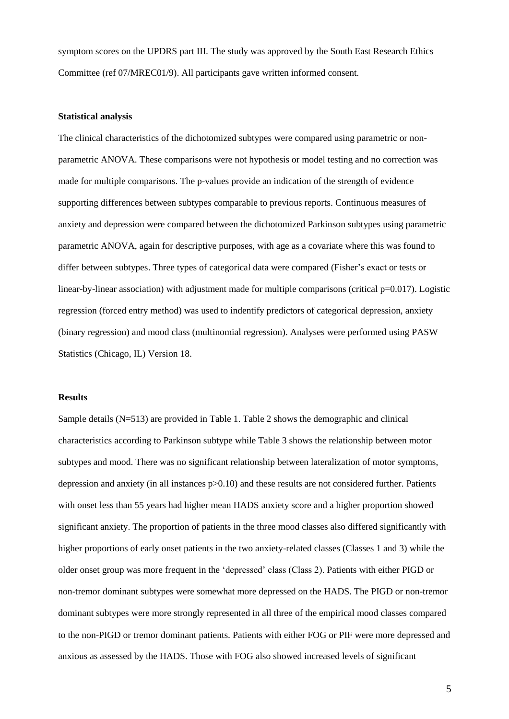symptom scores on the UPDRS part III. The study was approved by the South East Research Ethics Committee (ref 07/MREC01/9). All participants gave written informed consent.

#### **Statistical analysis**

The clinical characteristics of the dichotomized subtypes were compared using parametric or nonparametric ANOVA. These comparisons were not hypothesis or model testing and no correction was made for multiple comparisons. The p-values provide an indication of the strength of evidence supporting differences between subtypes comparable to previous reports. Continuous measures of anxiety and depression were compared between the dichotomized Parkinson subtypes using parametric parametric ANOVA, again for descriptive purposes, with age as a covariate where this was found to differ between subtypes. Three types of categorical data were compared (Fisher's exact or tests or linear-by-linear association) with adjustment made for multiple comparisons (critical p=0.017). Logistic regression (forced entry method) was used to indentify predictors of categorical depression, anxiety (binary regression) and mood class (multinomial regression). Analyses were performed using PASW Statistics (Chicago, IL) Version 18.

#### **Results**

Sample details (N=513) are provided in Table 1. Table 2 shows the demographic and clinical characteristics according to Parkinson subtype while Table 3 shows the relationship between motor subtypes and mood. There was no significant relationship between lateralization of motor symptoms, depression and anxiety (in all instances p>0.10) and these results are not considered further. Patients with onset less than 55 years had higher mean HADS anxiety score and a higher proportion showed significant anxiety. The proportion of patients in the three mood classes also differed significantly with higher proportions of early onset patients in the two anxiety-related classes (Classes 1 and 3) while the older onset group was more frequent in the 'depressed' class (Class 2). Patients with either PIGD or non-tremor dominant subtypes were somewhat more depressed on the HADS. The PIGD or non-tremor dominant subtypes were more strongly represented in all three of the empirical mood classes compared to the non-PIGD or tremor dominant patients. Patients with either FOG or PIF were more depressed and anxious as assessed by the HADS. Those with FOG also showed increased levels of significant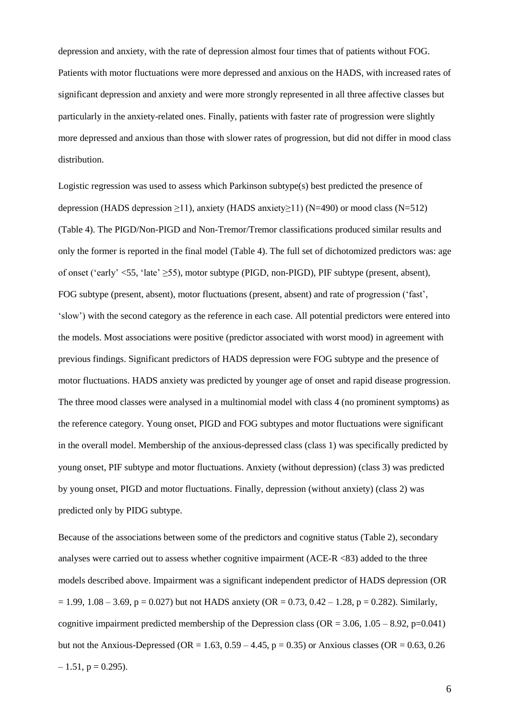depression and anxiety, with the rate of depression almost four times that of patients without FOG. Patients with motor fluctuations were more depressed and anxious on the HADS, with increased rates of significant depression and anxiety and were more strongly represented in all three affective classes but particularly in the anxiety-related ones. Finally, patients with faster rate of progression were slightly more depressed and anxious than those with slower rates of progression, but did not differ in mood class distribution.

Logistic regression was used to assess which Parkinson subtype(s) best predicted the presence of depression (HADS depression  $\geq$ 11), anxiety (HADS anxiety $\geq$ 11) (N=490) or mood class (N=512) (Table 4). The PIGD/Non-PIGD and Non-Tremor/Tremor classifications produced similar results and only the former is reported in the final model (Table 4). The full set of dichotomized predictors was: age of onset ('early' <55, 'late' ≥55), motor subtype (PIGD, non-PIGD), PIF subtype (present, absent), FOG subtype (present, absent), motor fluctuations (present, absent) and rate of progression ('fast', 'slow') with the second category as the reference in each case. All potential predictors were entered into the models. Most associations were positive (predictor associated with worst mood) in agreement with previous findings. Significant predictors of HADS depression were FOG subtype and the presence of motor fluctuations. HADS anxiety was predicted by younger age of onset and rapid disease progression. The three mood classes were analysed in a multinomial model with class 4 (no prominent symptoms) as the reference category. Young onset, PIGD and FOG subtypes and motor fluctuations were significant in the overall model. Membership of the anxious-depressed class (class 1) was specifically predicted by young onset, PIF subtype and motor fluctuations. Anxiety (without depression) (class 3) was predicted by young onset, PIGD and motor fluctuations. Finally, depression (without anxiety) (class 2) was predicted only by PIDG subtype.

Because of the associations between some of the predictors and cognitive status (Table 2), secondary analyses were carried out to assess whether cognitive impairment (ACE-R <83) added to the three models described above. Impairment was a significant independent predictor of HADS depression (OR  $= 1.99, 1.08 - 3.69, p = 0.027$  but not HADS anxiety (OR = 0.73, 0.42 – 1.28, p = 0.282). Similarly, cognitive impairment predicted membership of the Depression class ( $OR = 3.06, 1.05 - 8.92, p=0.041$ ) but not the Anxious-Depressed (OR = 1.63,  $0.59 - 4.45$ , p = 0.35) or Anxious classes (OR = 0.63, 0.26  $-1.51$ ,  $p = 0.295$ ).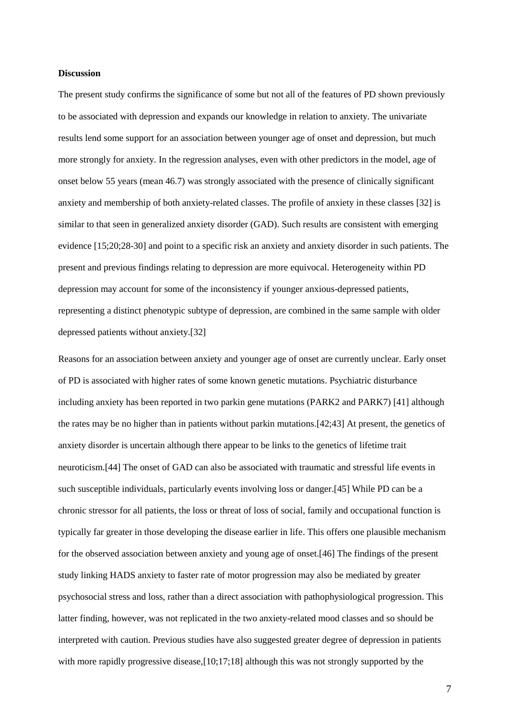#### **Discussion**

The present study confirms the significance of some but not all of the features of PD shown previously to be associated with depression and expands our knowledge in relation to anxiety. The univariate results lend some support for an association between younger age of onset and depression, but much more strongly for anxiety. In the regression analyses, even with other predictors in the model, age of onset below 55 years (mean 46.7) was strongly associated with the presence of clinically significant anxiety and membership of both anxiety-related classes. The profile of anxiety in these classes [32] is similar to that seen in generalized anxiety disorder (GAD). Such results are consistent with emerging evidence [15;20;28-30] and point to a specific risk an anxiety and anxiety disorder in such patients. The present and previous findings relating to depression are more equivocal. Heterogeneity within PD depression may account for some of the inconsistency if younger anxious-depressed patients, representing a distinct phenotypic subtype of depression, are combined in the same sample with older depressed patients without anxiety.[32]

Reasons for an association between anxiety and younger age of onset are currently unclear. Early onset of PD is associated with higher rates of some known genetic mutations. Psychiatric disturbance including anxiety has been reported in two parkin gene mutations (PARK2 and PARK7) [41] although the rates may be no higher than in patients without parkin mutations.[42;43] At present, the genetics of anxiety disorder is uncertain although there appear to be links to the genetics of lifetime trait neuroticism.[44] The onset of GAD can also be associated with traumatic and stressful life events in such susceptible individuals, particularly events involving loss or danger.[45] While PD can be a chronic stressor for all patients, the loss or threat of loss of social, family and occupational function is typically far greater in those developing the disease earlier in life. This offers one plausible mechanism for the observed association between anxiety and young age of onset.[46] The findings of the present study linking HADS anxiety to faster rate of motor progression may also be mediated by greater psychosocial stress and loss, rather than a direct association with pathophysiological progression. This latter finding, however, was not replicated in the two anxiety-related mood classes and so should be interpreted with caution. Previous studies have also suggested greater degree of depression in patients with more rapidly progressive disease,[10;17;18] although this was not strongly supported by the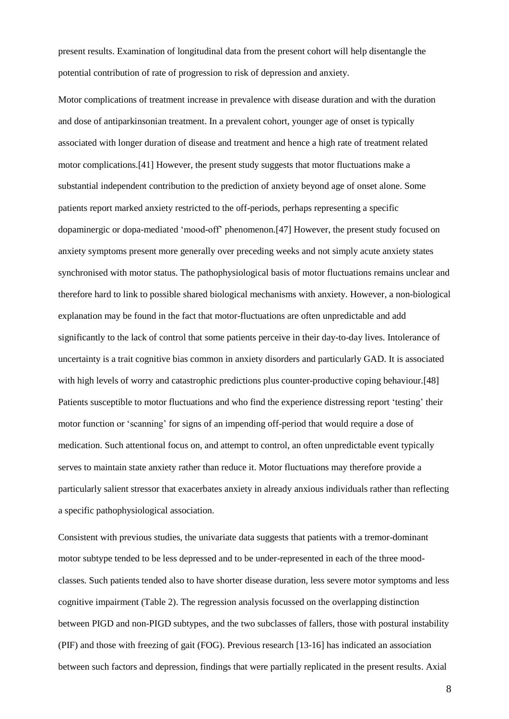present results. Examination of longitudinal data from the present cohort will help disentangle the potential contribution of rate of progression to risk of depression and anxiety.

Motor complications of treatment increase in prevalence with disease duration and with the duration and dose of antiparkinsonian treatment. In a prevalent cohort, younger age of onset is typically associated with longer duration of disease and treatment and hence a high rate of treatment related motor complications.[41] However, the present study suggests that motor fluctuations make a substantial independent contribution to the prediction of anxiety beyond age of onset alone. Some patients report marked anxiety restricted to the off-periods, perhaps representing a specific dopaminergic or dopa-mediated 'mood-off' phenomenon.[47] However, the present study focused on anxiety symptoms present more generally over preceding weeks and not simply acute anxiety states synchronised with motor status. The pathophysiological basis of motor fluctuations remains unclear and therefore hard to link to possible shared biological mechanisms with anxiety. However, a non-biological explanation may be found in the fact that motor-fluctuations are often unpredictable and add significantly to the lack of control that some patients perceive in their day-to-day lives. Intolerance of uncertainty is a trait cognitive bias common in anxiety disorders and particularly GAD. It is associated with high levels of worry and catastrophic predictions plus counter-productive coping behaviour.[48] Patients susceptible to motor fluctuations and who find the experience distressing report 'testing' their motor function or 'scanning' for signs of an impending off-period that would require a dose of medication. Such attentional focus on, and attempt to control, an often unpredictable event typically serves to maintain state anxiety rather than reduce it. Motor fluctuations may therefore provide a particularly salient stressor that exacerbates anxiety in already anxious individuals rather than reflecting a specific pathophysiological association.

Consistent with previous studies, the univariate data suggests that patients with a tremor-dominant motor subtype tended to be less depressed and to be under-represented in each of the three moodclasses. Such patients tended also to have shorter disease duration, less severe motor symptoms and less cognitive impairment (Table 2). The regression analysis focussed on the overlapping distinction between PIGD and non-PIGD subtypes, and the two subclasses of fallers, those with postural instability (PIF) and those with freezing of gait (FOG). Previous research [13-16] has indicated an association between such factors and depression, findings that were partially replicated in the present results. Axial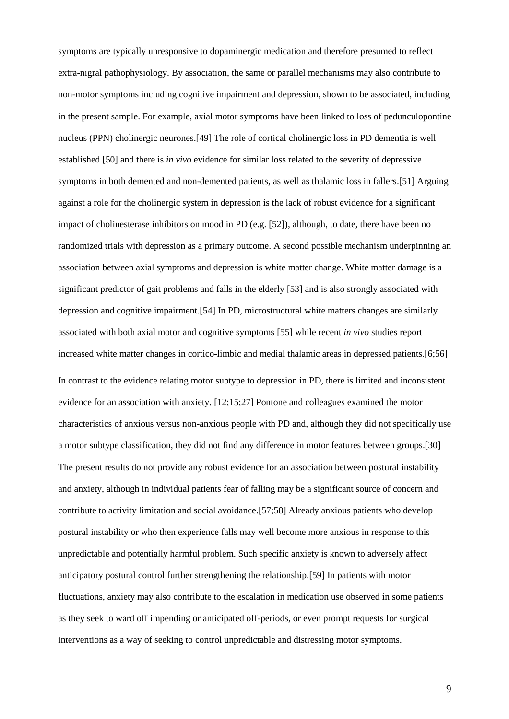symptoms are typically unresponsive to dopaminergic medication and therefore presumed to reflect extra-nigral pathophysiology. By association, the same or parallel mechanisms may also contribute to non-motor symptoms including cognitive impairment and depression, shown to be associated, including in the present sample. For example, axial motor symptoms have been linked to loss of pedunculopontine nucleus (PPN) cholinergic neurones.[49] The role of cortical cholinergic loss in PD dementia is well established [50] and there is *in vivo* evidence for similar loss related to the severity of depressive symptoms in both demented and non-demented patients, as well as thalamic loss in fallers.[51] Arguing against a role for the cholinergic system in depression is the lack of robust evidence for a significant impact of cholinesterase inhibitors on mood in PD (e.g. [52]), although, to date, there have been no randomized trials with depression as a primary outcome. A second possible mechanism underpinning an association between axial symptoms and depression is white matter change. White matter damage is a significant predictor of gait problems and falls in the elderly [53] and is also strongly associated with depression and cognitive impairment.[54] In PD, microstructural white matters changes are similarly associated with both axial motor and cognitive symptoms [55] while recent *in vivo* studies report increased white matter changes in cortico-limbic and medial thalamic areas in depressed patients.[6;56] In contrast to the evidence relating motor subtype to depression in PD, there is limited and inconsistent evidence for an association with anxiety. [12;15;27] Pontone and colleagues examined the motor characteristics of anxious versus non-anxious people with PD and, although they did not specifically use a motor subtype classification, they did not find any difference in motor features between groups.[30] The present results do not provide any robust evidence for an association between postural instability and anxiety, although in individual patients fear of falling may be a significant source of concern and contribute to activity limitation and social avoidance.[57;58] Already anxious patients who develop postural instability or who then experience falls may well become more anxious in response to this unpredictable and potentially harmful problem. Such specific anxiety is known to adversely affect anticipatory postural control further strengthening the relationship.[59] In patients with motor fluctuations, anxiety may also contribute to the escalation in medication use observed in some patients as they seek to ward off impending or anticipated off-periods, or even prompt requests for surgical interventions as a way of seeking to control unpredictable and distressing motor symptoms.

 $\overline{Q}$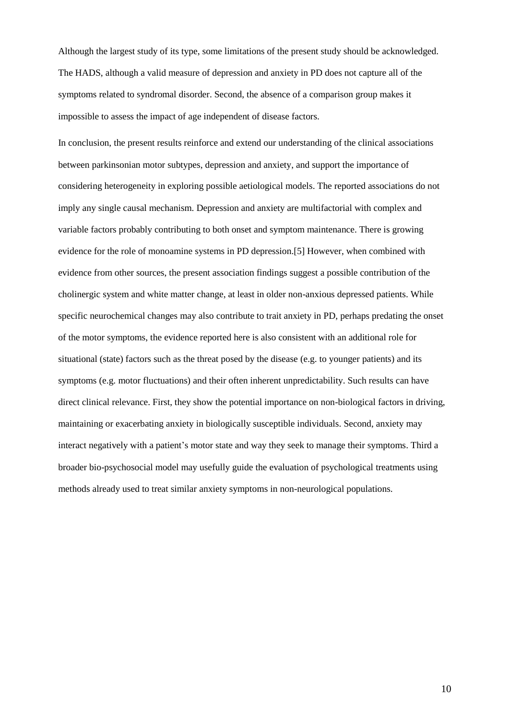Although the largest study of its type, some limitations of the present study should be acknowledged. The HADS, although a valid measure of depression and anxiety in PD does not capture all of the symptoms related to syndromal disorder. Second, the absence of a comparison group makes it impossible to assess the impact of age independent of disease factors.

In conclusion, the present results reinforce and extend our understanding of the clinical associations between parkinsonian motor subtypes, depression and anxiety, and support the importance of considering heterogeneity in exploring possible aetiological models. The reported associations do not imply any single causal mechanism. Depression and anxiety are multifactorial with complex and variable factors probably contributing to both onset and symptom maintenance. There is growing evidence for the role of monoamine systems in PD depression.[5] However, when combined with evidence from other sources, the present association findings suggest a possible contribution of the cholinergic system and white matter change, at least in older non-anxious depressed patients. While specific neurochemical changes may also contribute to trait anxiety in PD, perhaps predating the onset of the motor symptoms, the evidence reported here is also consistent with an additional role for situational (state) factors such as the threat posed by the disease (e.g. to younger patients) and its symptoms (e.g. motor fluctuations) and their often inherent unpredictability. Such results can have direct clinical relevance. First, they show the potential importance on non-biological factors in driving, maintaining or exacerbating anxiety in biologically susceptible individuals. Second, anxiety may interact negatively with a patient's motor state and way they seek to manage their symptoms. Third a broader bio-psychosocial model may usefully guide the evaluation of psychological treatments using methods already used to treat similar anxiety symptoms in non-neurological populations.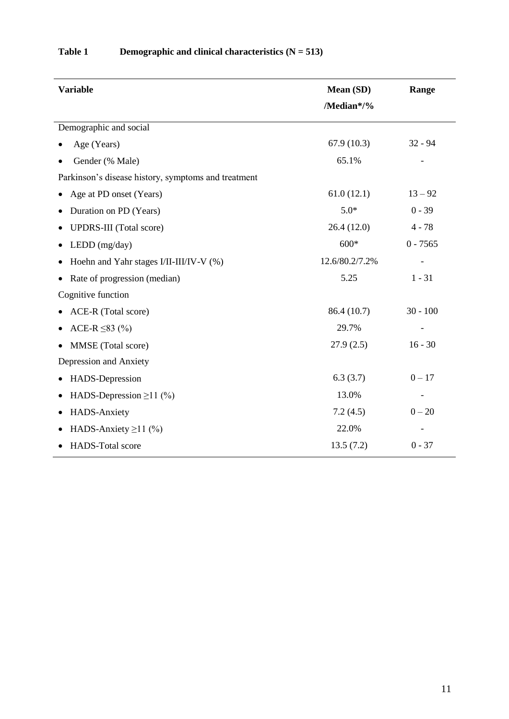| <b>Variable</b>                                     | Mean (SD)      | Range      |  |
|-----------------------------------------------------|----------------|------------|--|
|                                                     | /Median*/%     |            |  |
| Demographic and social                              |                |            |  |
| Age (Years)                                         | 67.9(10.3)     | $32 - 94$  |  |
| Gender (% Male)                                     | 65.1%          |            |  |
| Parkinson's disease history, symptoms and treatment |                |            |  |
| Age at PD onset (Years)                             | 61.0(12.1)     | $13 - 92$  |  |
| Duration on PD (Years)<br>٠                         | $5.0*$         | $0 - 39$   |  |
| <b>UPDRS-III</b> (Total score)                      | 26.4(12.0)     | $4 - 78$   |  |
| LEDD (mg/day)                                       | $600*$         | $0 - 7565$ |  |
| Hoehn and Yahr stages I/II-III/IV-V (%)             | 12.6/80.2/7.2% |            |  |
| Rate of progression (median)                        | 5.25           | $1 - 31$   |  |
| Cognitive function                                  |                |            |  |
| ACE-R (Total score)                                 | 86.4 (10.7)    | $30 - 100$ |  |
| ACE-R $\leq$ 83 (%)                                 | 29.7%          |            |  |
| MMSE (Total score)                                  | 27.9(2.5)      | $16 - 30$  |  |
| Depression and Anxiety                              |                |            |  |
| HADS-Depression<br>٠                                | 6.3(3.7)       | $0 - 17$   |  |
| HADS-Depression $\geq$ 11 (%)                       | 13.0%          |            |  |
| HADS-Anxiety                                        | 7.2(4.5)       | $0 - 20$   |  |
| HADS-Anxiety $\geq$ 11 (%)                          | 22.0%          |            |  |
| HADS-Total score                                    | 13.5(7.2)      | $0 - 37$   |  |

### **Table 1 Demographic and clinical characteristics (N = 513)**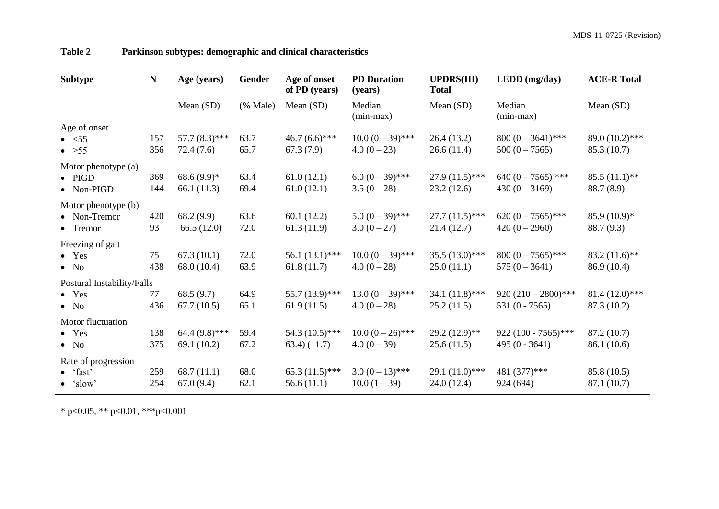| <b>Subtype</b>                                              | $\mathbf N$ | Age (years)                       | <b>Gender</b>                          | Age of onset<br>of PD (years)   | <b>PD</b> Duration<br>(years)      | <b>UPDRS(III)</b><br><b>Total</b> | LEDD (mg/day)                            | <b>ACE-R Total</b>             |
|-------------------------------------------------------------|-------------|-----------------------------------|----------------------------------------|---------------------------------|------------------------------------|-----------------------------------|------------------------------------------|--------------------------------|
|                                                             |             | Mean (SD)                         | $(% \mathcal{L}_{0}^{\infty}$ (% Male) | Mean (SD)                       | Median<br>$(min-max)$              | Mean (SD)                         | Median<br>$(min-max)$                    | Mean $(SD)$                    |
| Age of onset<br>$\bullet \quad <55$<br>$\bullet$ $\geq 55$  | 157<br>356  | 57.7 $(8.3)$ ***<br>72.4(7.6)     | 63.7<br>65.7                           | $46.7(6.6)$ ***<br>67.3(7.9)    | $10.0 (0 - 39)$ ***<br>$4.0(0-23)$ | 26.4(13.2)<br>26.6(11.4)          | $800 (0 - 3641)$ ***<br>$500 (0 - 7565)$ | 89.0 (10.2)***<br>85.3 (10.7)  |
| Motor phenotype (a)<br>$\bullet$ PIGD<br>$\bullet$ Non-PIGD | 369<br>144  | $68.6(9.9)*$<br>66.1(11.3)        | 63.4<br>69.4                           | 61.0(12.1)<br>61.0(12.1)        | $6.0 (0 - 39)$ ***<br>$3.5(0-28)$  | $27.9(11.5)$ ***<br>23.2(12.6)    | 640 $(0 - 7565)$ ***<br>$430(0-3169)$    | $85.5(11.1)$ **<br>88.7 (8.9)  |
| Motor phenotype (b)<br>• Non-Tremor<br>• Tremor             | 420<br>93   | 68.2 (9.9)<br>66.5(12.0)          | 63.6<br>72.0                           | 60.1(12.2)<br>61.3(11.9)        | $5.0 (0 - 39)$ ***<br>$3.0(0-27)$  | $27.7(11.5)$ ***<br>21.4(12.7)    | 620 $(0-7565)$ ***<br>$420(0-2960)$      | $85.9(10.9)*$<br>88.7 (9.3)    |
| Freezing of gait<br>$\bullet$ Yes<br>$\bullet$ No           | 75<br>438   | 67.3(10.1)<br>68.0 (10.4)         | 72.0<br>63.9                           | 56.1 $(13.1)$ ***<br>61.8(11.7) | $10.0 (0 - 39)$ ***<br>$4.0(0-28)$ | $35.5(13.0)$ ***<br>25.0(11.1)    | $800 (0 - 7565)$ ***<br>$575(0 - 3641)$  | $83.2(11.6)$ **<br>86.9 (10.4) |
| Postural Instability/Falls<br>$\bullet$ Yes<br>$\bullet$ No | 77<br>436   | 68.5 $(9.7)$<br>67.7(10.5)        | 64.9<br>65.1                           | 55.7 (13.9)***<br>61.9(11.5)    | $13.0 (0 - 39)$ ***<br>$4.0(0-28)$ | 34.1 $(11.8)$ ***<br>25.2(11.5)   | $920(210-2800)$ ***<br>531 $(0 - 7565)$  | $81.4(12.0)***$<br>87.3 (10.2) |
| Motor fluctuation<br>$\bullet$ Yes<br>$\bullet$ No          | 138<br>375  | 64.4 $(9.8)$ ***<br>69.1 $(10.2)$ | 59.4<br>67.2                           | 54.3 $(10.5)$ ***<br>(11.7)     | $10.0 (0-26)$ ***<br>$4.0(0-39)$   | $29.2(12.9)$ **<br>25.6(11.5)     | 922 (100 - 7565)***<br>$495(0 - 3641)$   | 87.2 (10.7)<br>86.1 (10.6)     |
| Rate of progression<br>$\bullet$ 'fast'<br>$\bullet$ 'slow' | 259<br>254  | 68.7(11.1)<br>67.0(9.4)           | 68.0<br>62.1                           | $65.3(11.5)$ ***<br>56.6(11.1)  | $3.0(0-13)$ ***<br>$10.0(1-39)$    | 29.1 $(11.0)$ ***<br>24.0(12.4)   | 481 (377)***<br>924 (694)                | 85.8 (10.5)<br>87.1 (10.7)     |

**Table 2 Parkinson subtypes: demographic and clinical characteristics** 

\* p<0.05, \*\* p<0.01, \*\*\*p<0.001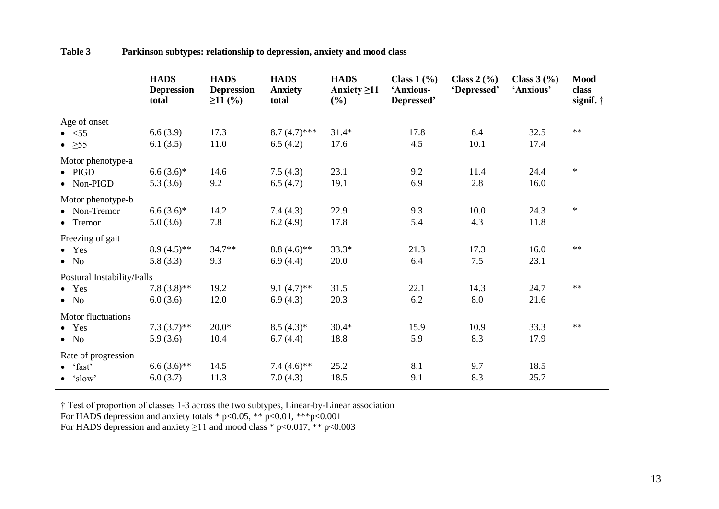|                                                             | <b>HADS</b><br><b>Depression</b><br>total | <b>HADS</b><br><b>Depression</b><br>$\geq$ 11 (%) | <b>HADS</b><br><b>Anxiety</b><br>total | <b>HADS</b><br>Anxiety $\geq$ 11<br>(%) | Class $1\left(\frac{9}{6}\right)$<br>'Anxious-<br>Depressed' | Class $2\left(\frac{9}{6}\right)$<br>'Depressed' | <b>Class 3</b> $(\frac{9}{6})$<br>'Anxious' | <b>Mood</b><br>class<br>signif. $\dagger$ |
|-------------------------------------------------------------|-------------------------------------------|---------------------------------------------------|----------------------------------------|-----------------------------------------|--------------------------------------------------------------|--------------------------------------------------|---------------------------------------------|-------------------------------------------|
| Age of onset<br>$\bullet \quad <55$                         | 6.6(3.9)                                  | 17.3                                              | $8.7(4.7)$ ***                         | $31.4*$                                 | 17.8                                                         | 6.4                                              | 32.5                                        | $**$                                      |
| $\bullet$ > 55                                              | 6.1(3.5)                                  | 11.0                                              | 6.5(4.2)                               | 17.6                                    | 4.5                                                          | 10.1                                             | 17.4                                        |                                           |
| Motor phenotype-a                                           |                                           |                                                   |                                        |                                         |                                                              |                                                  |                                             |                                           |
| $\bullet$ PIGD<br>$\bullet$ Non-PIGD                        | $6.6(3.6)*$<br>5.3(3.6)                   | 14.6<br>9.2                                       | 7.5(4.3)<br>6.5(4.7)                   | 23.1<br>19.1                            | 9.2<br>6.9                                                   | 11.4<br>2.8                                      | 24.4<br>16.0                                | $\ast$                                    |
| Motor phenotype-b<br>• Non-Tremor<br>• Tremor               | $6.6(3.6)*$<br>5.0(3.6)                   | 14.2<br>7.8                                       | 7.4(4.3)<br>6.2(4.9)                   | 22.9<br>17.8                            | 9.3<br>5.4                                                   | 10.0<br>4.3                                      | 24.3<br>11.8                                | $\ast$                                    |
| Freezing of gait<br>$\bullet$ Yes<br>$\bullet$ No           | $8.9(4.5)$ **<br>5.8(3.3)                 | 34.7**<br>9.3                                     | $8.8(4.6)$ **<br>6.9(4.4)              | $33.3*$<br>20.0                         | 21.3<br>6.4                                                  | 17.3<br>7.5                                      | 16.0<br>23.1                                | $**$                                      |
| Postural Instability/Falls                                  |                                           |                                                   |                                        |                                         |                                                              |                                                  |                                             |                                           |
| $\bullet$ Yes<br>$\bullet$ No                               | $7.8(3.8)$ **<br>6.0(3.6)                 | 19.2<br>12.0                                      | 9.1 $(4.7)$ **<br>6.9(4.3)             | 31.5<br>20.3                            | 22.1<br>6.2                                                  | 14.3<br>8.0                                      | 24.7<br>21.6                                | $**$                                      |
| Motor fluctuations<br>$\bullet$ Yes                         | $7.3(3.7)$ **                             | $20.0*$                                           | $8.5(4.3)^*$                           | $30.4*$                                 | 15.9                                                         | 10.9                                             | 33.3                                        | $**$                                      |
| $\bullet$ No                                                | 5.9(3.6)                                  | 10.4                                              | 6.7(4.4)                               | 18.8                                    | 5.9                                                          | 8.3                                              | 17.9                                        |                                           |
| Rate of progression<br>$\bullet$ 'fast'<br>$\bullet$ 'slow' | $6.6(3.6)$ **<br>6.0(3.7)                 | 14.5<br>11.3                                      | 7.4 $(4.6)$ <sup>**</sup><br>7.0(4.3)  | 25.2<br>18.5                            | 8.1<br>9.1                                                   | 9.7<br>8.3                                       | 18.5<br>25.7                                |                                           |

**Table 3 Parkinson subtypes: relationship to depression, anxiety and mood class** 

† Test of proportion of classes 1-3 across the two subtypes, Linear-by-Linear association For HADS depression and anxiety totals \* p<0.05, \*\* p<0.01, \*\*\*p<0.001 For HADS depression and anxiety  $\geq$ 11 and mood class \* p<0.017, \*\* p<0.003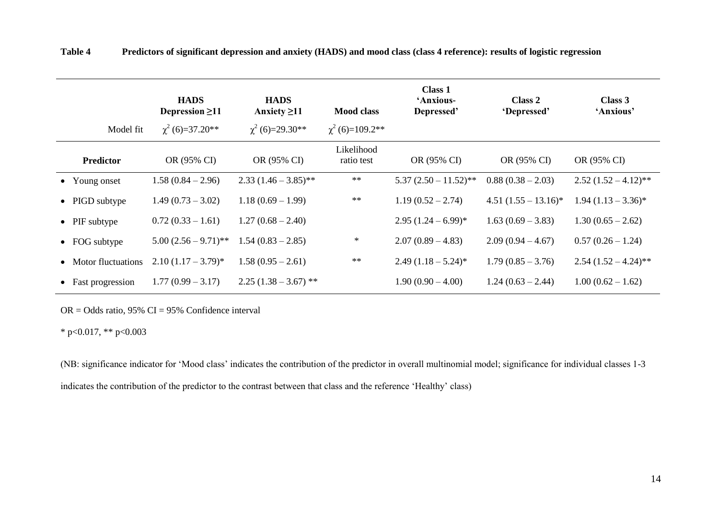| Model fit             | <b>HADS</b><br>Depression $\geq$ 11<br>$\chi^2$ (6)=37.20** | <b>HADS</b><br>Anxiety $\geq$ 11<br>$\chi^2$ (6)=29.30** | <b>Mood class</b><br>$\chi^2$ (6)=109.2** | <b>Class 1</b><br>'Anxious-<br>Depressed' | Class 2<br>'Depressed'  | Class 3<br>'Anxious'   |
|-----------------------|-------------------------------------------------------------|----------------------------------------------------------|-------------------------------------------|-------------------------------------------|-------------------------|------------------------|
| <b>Predictor</b>      | OR (95% CI)                                                 | OR (95% CI)                                              | Likelihood<br>ratio test                  | OR (95% CI)                               | OR (95% CI)             | OR (95% CI)            |
| • Young onset         | $1.58(0.84 - 2.96)$                                         | $2.33(1.46-3.85)$ **                                     | $**$                                      | $5.37(2.50 - 11.52)$ **                   | $0.88(0.38-2.03)$       | $2.52(1.52-4.12)$ **   |
| • PIGD subtype        | $1.49(0.73 - 3.02)$                                         | $1.18(0.69 - 1.99)$                                      | $**$                                      | $1.19(0.52 - 2.74)$                       | $4.51 (1.55 - 13.16)^*$ | $1.94 (1.13 - 3.36)^*$ |
| $\bullet$ PIF subtype | $0.72(0.33-1.61)$                                           | $1.27(0.68 - 2.40)$                                      |                                           | $2.95(1.24-6.99)^*$                       | $1.63(0.69 - 3.83)$     | $1.30(0.65 - 2.62)$    |
| $\bullet$ FOG subtype | $5.00(2.56 - 9.71)$ **                                      | $1.54(0.83 - 2.85)$                                      | $\ast$                                    | $2.07(0.89-4.83)$                         | $2.09(0.94-4.67)$       | $0.57(0.26 - 1.24)$    |
| • Motor fluctuations  | $2.10(1.17-3.79)^*$                                         | $1.58(0.95 - 2.61)$                                      | $**$                                      | $2.49(1.18-5.24)^{*}$                     | $1.79(0.85 - 3.76)$     | $2.54(1.52-4.24)$ **   |
| • Fast progression    | $1.77(0.99 - 3.17)$                                         | $2.25(1.38-3.67)$ **                                     |                                           | $1.90(0.90 - 4.00)$                       | $1.24(0.63 - 2.44)$     | $1.00(0.62 - 1.62)$    |

**Table 4 Predictors of significant depression and anxiety (HADS) and mood class (class 4 reference): results of logistic regression**

 $OR = Odds$  ratio, 95%  $CI = 95%$  Confidence interval

\* p<0.017, \*\* p<0.003

(NB: significance indicator for 'Mood class' indicates the contribution of the predictor in overall multinomial model; significance for individual classes 1-3 indicates the contribution of the predictor to the contrast between that class and the reference 'Healthy' class)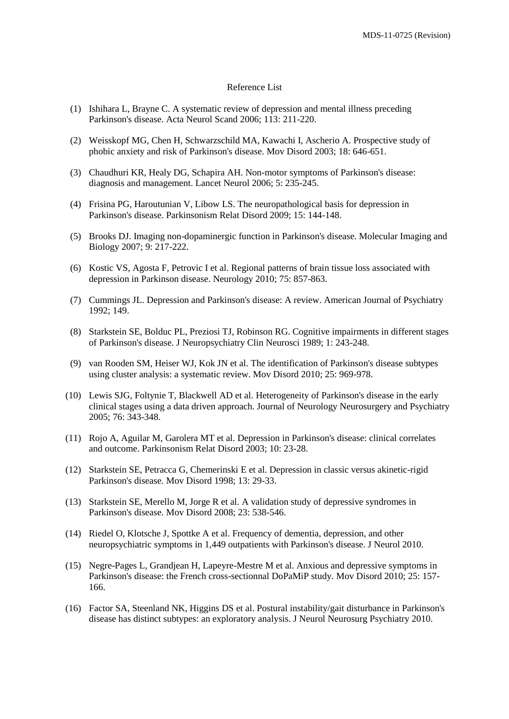#### Reference List

- (1) Ishihara L, Brayne C. A systematic review of depression and mental illness preceding Parkinson's disease. Acta Neurol Scand 2006; 113: 211-220.
- (2) Weisskopf MG, Chen H, Schwarzschild MA, Kawachi I, Ascherio A. Prospective study of phobic anxiety and risk of Parkinson's disease. Mov Disord 2003; 18: 646-651.
- (3) Chaudhuri KR, Healy DG, Schapira AH. Non-motor symptoms of Parkinson's disease: diagnosis and management. Lancet Neurol 2006; 5: 235-245.
- (4) Frisina PG, Haroutunian V, Libow LS. The neuropathological basis for depression in Parkinson's disease. Parkinsonism Relat Disord 2009; 15: 144-148.
- (5) Brooks DJ. Imaging non-dopaminergic function in Parkinson's disease. Molecular Imaging and Biology 2007; 9: 217-222.
- (6) Kostic VS, Agosta F, Petrovic I et al. Regional patterns of brain tissue loss associated with depression in Parkinson disease. Neurology 2010; 75: 857-863.
- (7) Cummings JL. Depression and Parkinson's disease: A review. American Journal of Psychiatry 1992; 149.
- (8) Starkstein SE, Bolduc PL, Preziosi TJ, Robinson RG. Cognitive impairments in different stages of Parkinson's disease. J Neuropsychiatry Clin Neurosci 1989; 1: 243-248.
- (9) van Rooden SM, Heiser WJ, Kok JN et al. The identification of Parkinson's disease subtypes using cluster analysis: a systematic review. Mov Disord 2010; 25: 969-978.
- (10) Lewis SJG, Foltynie T, Blackwell AD et al. Heterogeneity of Parkinson's disease in the early clinical stages using a data driven approach. Journal of Neurology Neurosurgery and Psychiatry 2005; 76: 343-348.
- (11) Rojo A, Aguilar M, Garolera MT et al. Depression in Parkinson's disease: clinical correlates and outcome. Parkinsonism Relat Disord 2003; 10: 23-28.
- (12) Starkstein SE, Petracca G, Chemerinski E et al. Depression in classic versus akinetic-rigid Parkinson's disease. Mov Disord 1998; 13: 29-33.
- (13) Starkstein SE, Merello M, Jorge R et al. A validation study of depressive syndromes in Parkinson's disease. Mov Disord 2008; 23: 538-546.
- (14) Riedel O, Klotsche J, Spottke A et al. Frequency of dementia, depression, and other neuropsychiatric symptoms in 1,449 outpatients with Parkinson's disease. J Neurol 2010.
- (15) Negre-Pages L, Grandjean H, Lapeyre-Mestre M et al. Anxious and depressive symptoms in Parkinson's disease: the French cross-sectionnal DoPaMiP study. Mov Disord 2010; 25: 157- 166.
- (16) Factor SA, Steenland NK, Higgins DS et al. Postural instability/gait disturbance in Parkinson's disease has distinct subtypes: an exploratory analysis. J Neurol Neurosurg Psychiatry 2010.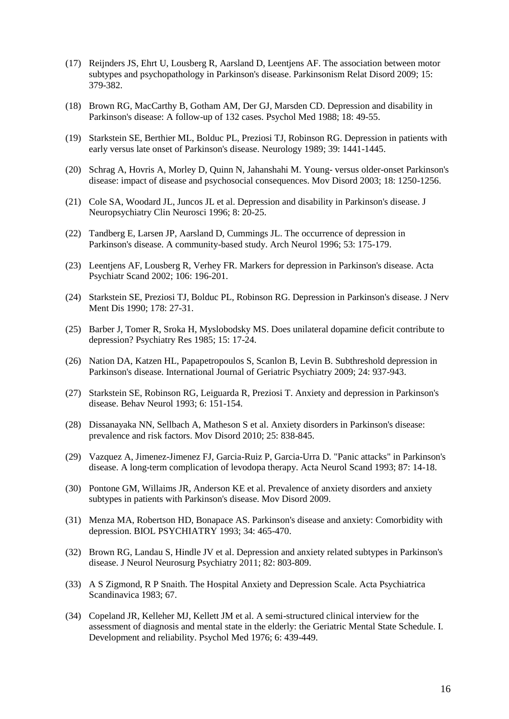- (17) Reijnders JS, Ehrt U, Lousberg R, Aarsland D, Leentjens AF. The association between motor subtypes and psychopathology in Parkinson's disease. Parkinsonism Relat Disord 2009; 15: 379-382.
- (18) Brown RG, MacCarthy B, Gotham AM, Der GJ, Marsden CD. Depression and disability in Parkinson's disease: A follow-up of 132 cases. Psychol Med 1988; 18: 49-55.
- (19) Starkstein SE, Berthier ML, Bolduc PL, Preziosi TJ, Robinson RG. Depression in patients with early versus late onset of Parkinson's disease. Neurology 1989; 39: 1441-1445.
- (20) Schrag A, Hovris A, Morley D, Quinn N, Jahanshahi M. Young- versus older-onset Parkinson's disease: impact of disease and psychosocial consequences. Mov Disord 2003; 18: 1250-1256.
- (21) Cole SA, Woodard JL, Juncos JL et al. Depression and disability in Parkinson's disease. J Neuropsychiatry Clin Neurosci 1996; 8: 20-25.
- (22) Tandberg E, Larsen JP, Aarsland D, Cummings JL. The occurrence of depression in Parkinson's disease. A community-based study. Arch Neurol 1996; 53: 175-179.
- (23) Leentjens AF, Lousberg R, Verhey FR. Markers for depression in Parkinson's disease. Acta Psychiatr Scand 2002; 106: 196-201.
- (24) Starkstein SE, Preziosi TJ, Bolduc PL, Robinson RG. Depression in Parkinson's disease. J Nerv Ment Dis 1990; 178: 27-31.
- (25) Barber J, Tomer R, Sroka H, Myslobodsky MS. Does unilateral dopamine deficit contribute to depression? Psychiatry Res 1985; 15: 17-24.
- (26) Nation DA, Katzen HL, Papapetropoulos S, Scanlon B, Levin B. Subthreshold depression in Parkinson's disease. International Journal of Geriatric Psychiatry 2009; 24: 937-943.
- (27) Starkstein SE, Robinson RG, Leiguarda R, Preziosi T. Anxiety and depression in Parkinson's disease. Behav Neurol 1993; 6: 151-154.
- (28) Dissanayaka NN, Sellbach A, Matheson S et al. Anxiety disorders in Parkinson's disease: prevalence and risk factors. Mov Disord 2010; 25: 838-845.
- (29) Vazquez A, Jimenez-Jimenez FJ, Garcia-Ruiz P, Garcia-Urra D. "Panic attacks" in Parkinson's disease. A long-term complication of levodopa therapy. Acta Neurol Scand 1993; 87: 14-18.
- (30) Pontone GM, Willaims JR, Anderson KE et al. Prevalence of anxiety disorders and anxiety subtypes in patients with Parkinson's disease. Mov Disord 2009.
- (31) Menza MA, Robertson HD, Bonapace AS. Parkinson's disease and anxiety: Comorbidity with depression. BIOL PSYCHIATRY 1993; 34: 465-470.
- (32) Brown RG, Landau S, Hindle JV et al. Depression and anxiety related subtypes in Parkinson's disease. J Neurol Neurosurg Psychiatry 2011; 82: 803-809.
- (33) A S Zigmond, R P Snaith. The Hospital Anxiety and Depression Scale. Acta Psychiatrica Scandinavica 1983; 67.
- (34) Copeland JR, Kelleher MJ, Kellett JM et al. A semi-structured clinical interview for the assessment of diagnosis and mental state in the elderly: the Geriatric Mental State Schedule. I. Development and reliability. Psychol Med 1976; 6: 439-449.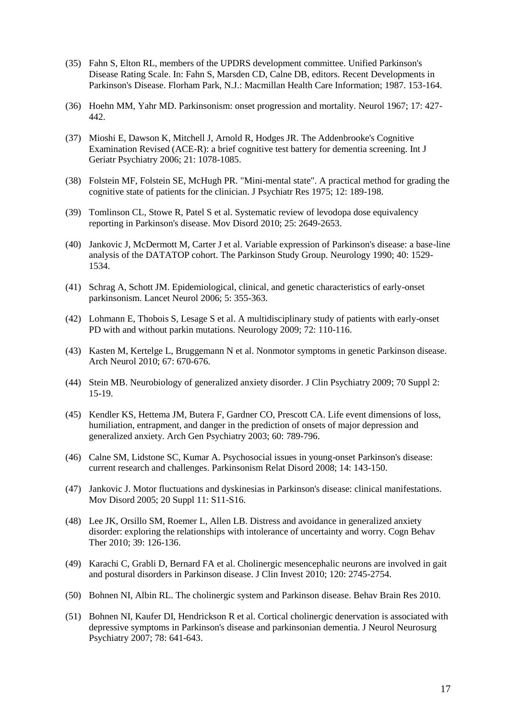- (35) Fahn S, Elton RL, members of the UPDRS development committee. Unified Parkinson's Disease Rating Scale. In: Fahn S, Marsden CD, Calne DB, editors. Recent Developments in Parkinson's Disease. Florham Park, N.J.: Macmillan Health Care Information; 1987. 153-164.
- (36) Hoehn MM, Yahr MD. Parkinsonism: onset progression and mortality. Neurol 1967; 17: 427- 442.
- (37) Mioshi E, Dawson K, Mitchell J, Arnold R, Hodges JR. The Addenbrooke's Cognitive Examination Revised (ACE-R): a brief cognitive test battery for dementia screening. Int J Geriatr Psychiatry 2006; 21: 1078-1085.
- (38) Folstein MF, Folstein SE, McHugh PR. "Mini-mental state". A practical method for grading the cognitive state of patients for the clinician. J Psychiatr Res 1975; 12: 189-198.
- (39) Tomlinson CL, Stowe R, Patel S et al. Systematic review of levodopa dose equivalency reporting in Parkinson's disease. Mov Disord 2010; 25: 2649-2653.
- (40) Jankovic J, McDermott M, Carter J et al. Variable expression of Parkinson's disease: a base-line analysis of the DATATOP cohort. The Parkinson Study Group. Neurology 1990; 40: 1529- 1534.
- (41) Schrag A, Schott JM. Epidemiological, clinical, and genetic characteristics of early-onset parkinsonism. Lancet Neurol 2006; 5: 355-363.
- (42) Lohmann E, Thobois S, Lesage S et al. A multidisciplinary study of patients with early-onset PD with and without parkin mutations. Neurology 2009; 72: 110-116.
- (43) Kasten M, Kertelge L, Bruggemann N et al. Nonmotor symptoms in genetic Parkinson disease. Arch Neurol 2010; 67: 670-676.
- (44) Stein MB. Neurobiology of generalized anxiety disorder. J Clin Psychiatry 2009; 70 Suppl 2: 15-19.
- (45) Kendler KS, Hettema JM, Butera F, Gardner CO, Prescott CA. Life event dimensions of loss, humiliation, entrapment, and danger in the prediction of onsets of major depression and generalized anxiety. Arch Gen Psychiatry 2003; 60: 789-796.
- (46) Calne SM, Lidstone SC, Kumar A. Psychosocial issues in young-onset Parkinson's disease: current research and challenges. Parkinsonism Relat Disord 2008; 14: 143-150.
- (47) Jankovic J. Motor fluctuations and dyskinesias in Parkinson's disease: clinical manifestations. Mov Disord 2005; 20 Suppl 11: S11-S16.
- (48) Lee JK, Orsillo SM, Roemer L, Allen LB. Distress and avoidance in generalized anxiety disorder: exploring the relationships with intolerance of uncertainty and worry. Cogn Behav Ther 2010; 39: 126-136.
- (49) Karachi C, Grabli D, Bernard FA et al. Cholinergic mesencephalic neurons are involved in gait and postural disorders in Parkinson disease. J Clin Invest 2010; 120: 2745-2754.
- (50) Bohnen NI, Albin RL. The cholinergic system and Parkinson disease. Behav Brain Res 2010.
- (51) Bohnen NI, Kaufer DI, Hendrickson R et al. Cortical cholinergic denervation is associated with depressive symptoms in Parkinson's disease and parkinsonian dementia. J Neurol Neurosurg Psychiatry 2007; 78: 641-643.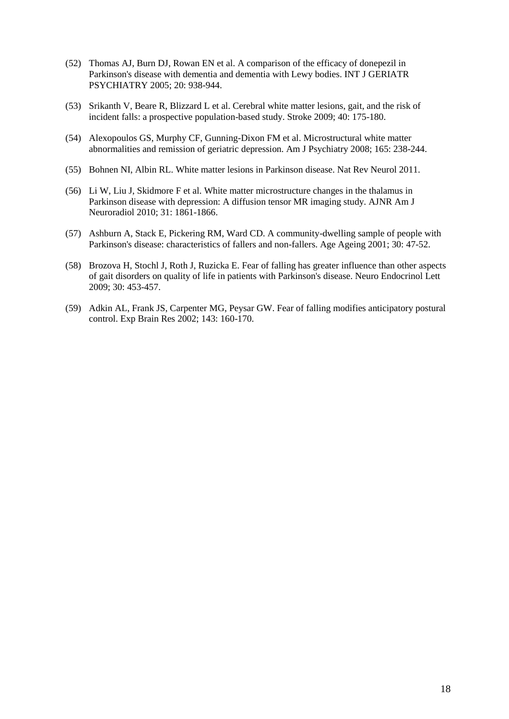- (52) Thomas AJ, Burn DJ, Rowan EN et al. A comparison of the efficacy of donepezil in Parkinson's disease with dementia and dementia with Lewy bodies. INT J GERIATR PSYCHIATRY 2005; 20: 938-944.
- (53) Srikanth V, Beare R, Blizzard L et al. Cerebral white matter lesions, gait, and the risk of incident falls: a prospective population-based study. Stroke 2009; 40: 175-180.
- (54) Alexopoulos GS, Murphy CF, Gunning-Dixon FM et al. Microstructural white matter abnormalities and remission of geriatric depression. Am J Psychiatry 2008; 165: 238-244.
- (55) Bohnen NI, Albin RL. White matter lesions in Parkinson disease. Nat Rev Neurol 2011.
- (56) Li W, Liu J, Skidmore F et al. White matter microstructure changes in the thalamus in Parkinson disease with depression: A diffusion tensor MR imaging study. AJNR Am J Neuroradiol 2010; 31: 1861-1866.
- (57) Ashburn A, Stack E, Pickering RM, Ward CD. A community-dwelling sample of people with Parkinson's disease: characteristics of fallers and non-fallers. Age Ageing 2001; 30: 47-52.
- (58) Brozova H, Stochl J, Roth J, Ruzicka E. Fear of falling has greater influence than other aspects of gait disorders on quality of life in patients with Parkinson's disease. Neuro Endocrinol Lett 2009; 30: 453-457.
- (59) Adkin AL, Frank JS, Carpenter MG, Peysar GW. Fear of falling modifies anticipatory postural control. Exp Brain Res 2002; 143: 160-170.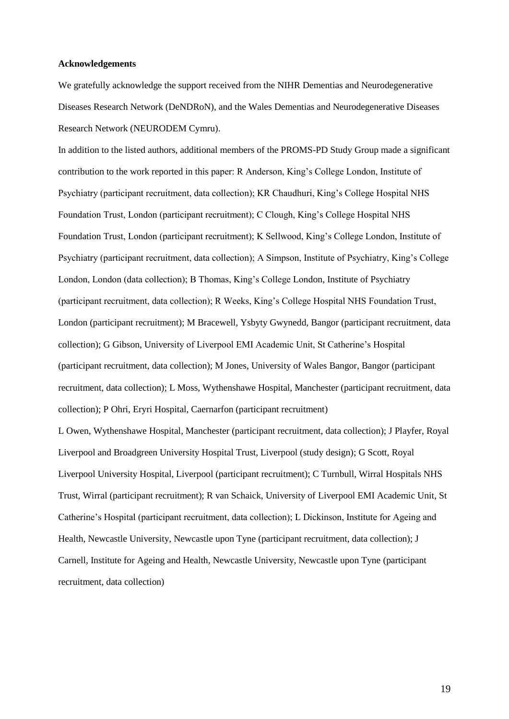#### **Acknowledgements**

We gratefully acknowledge the support received from the NIHR Dementias and Neurodegenerative Diseases Research Network (DeNDRoN), and the Wales Dementias and Neurodegenerative Diseases Research Network (NEURODEM Cymru).

In addition to the listed authors, additional members of the PROMS-PD Study Group made a significant contribution to the work reported in this paper: R Anderson, King's College London, Institute of Psychiatry (participant recruitment, data collection); KR Chaudhuri, King's College Hospital NHS Foundation Trust, London (participant recruitment); C Clough, King's College Hospital NHS Foundation Trust, London (participant recruitment); K Sellwood, King's College London, Institute of Psychiatry (participant recruitment, data collection); A Simpson, Institute of Psychiatry, King's College London, London (data collection); B Thomas, King's College London, Institute of Psychiatry (participant recruitment, data collection); R Weeks, King's College Hospital NHS Foundation Trust, London (participant recruitment); M Bracewell, Ysbyty Gwynedd, Bangor (participant recruitment, data collection); G Gibson, University of Liverpool EMI Academic Unit, St Catherine's Hospital (participant recruitment, data collection); M Jones, University of Wales Bangor, Bangor (participant recruitment, data collection); L Moss, Wythenshawe Hospital, Manchester (participant recruitment, data collection); P Ohri, Eryri Hospital, Caernarfon (participant recruitment)

L Owen, Wythenshawe Hospital, Manchester (participant recruitment, data collection); J Playfer, Royal Liverpool and Broadgreen University Hospital Trust, Liverpool (study design); G Scott, Royal Liverpool University Hospital, Liverpool (participant recruitment); C Turnbull, Wirral Hospitals NHS Trust, Wirral (participant recruitment); R van Schaick, University of Liverpool EMI Academic Unit, St Catherine's Hospital (participant recruitment, data collection); L Dickinson, Institute for Ageing and Health, Newcastle University, Newcastle upon Tyne (participant recruitment, data collection); J Carnell, Institute for Ageing and Health, Newcastle University, Newcastle upon Tyne (participant recruitment, data collection)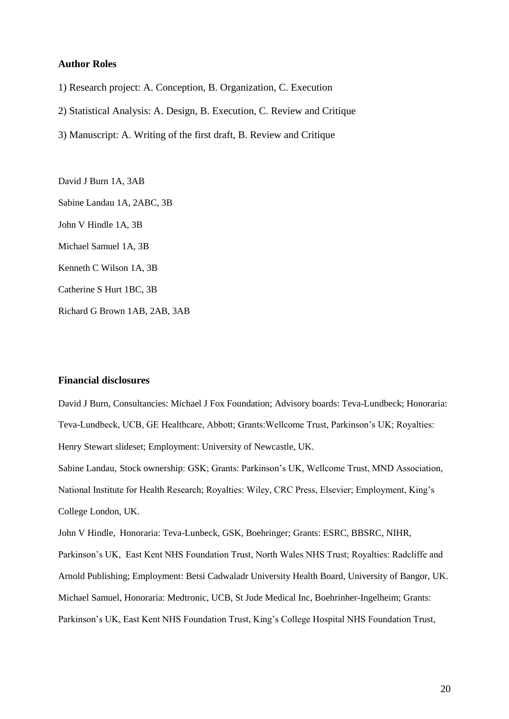#### **Author Roles**

- 1) Research project: A. Conception, B. Organization, C. Execution
- 2) Statistical Analysis: A. Design, B. Execution, C. Review and Critique
- 3) Manuscript: A. Writing of the first draft, B. Review and Critique

David J Burn 1A, 3AB Sabine Landau 1A, 2ABC, 3B John V Hindle 1A, 3B Michael Samuel 1A, 3B Kenneth C Wilson 1A, 3B Catherine S Hurt 1BC, 3B Richard G Brown 1AB, 2AB, 3AB

#### **Financial disclosures**

David J Burn, Consultancies: Michael J Fox Foundation; Advisory boards: Teva-Lundbeck; Honoraria: Teva-Lundbeck, UCB, GE Healthcare, Abbott; Grants:Wellcome Trust, Parkinson's UK; Royalties: Henry Stewart slideset; Employment: University of Newcastle, UK.

Sabine Landau, Stock ownership: GSK; Grants: Parkinson's UK, Wellcome Trust, MND Association, National Institute for Health Research; Royalties: Wiley, CRC Press, Elsevier; Employment, King's College London, UK.

John V Hindle, Honoraria: Teva-Lunbeck, GSK, Boehringer; Grants: ESRC, BBSRC, NIHR,

Parkinson's UK, East Kent NHS Foundation Trust, North Wales NHS Trust; Royalties: Radcliffe and Arnold Publishing; Employment: Betsi Cadwaladr University Health Board, University of Bangor, UK. Michael Samuel, Honoraria: Medtronic, UCB, St Jude Medical Inc, Boehrinher-Ingelheim; Grants: Parkinson's UK, East Kent NHS Foundation Trust, King's College Hospital NHS Foundation Trust,